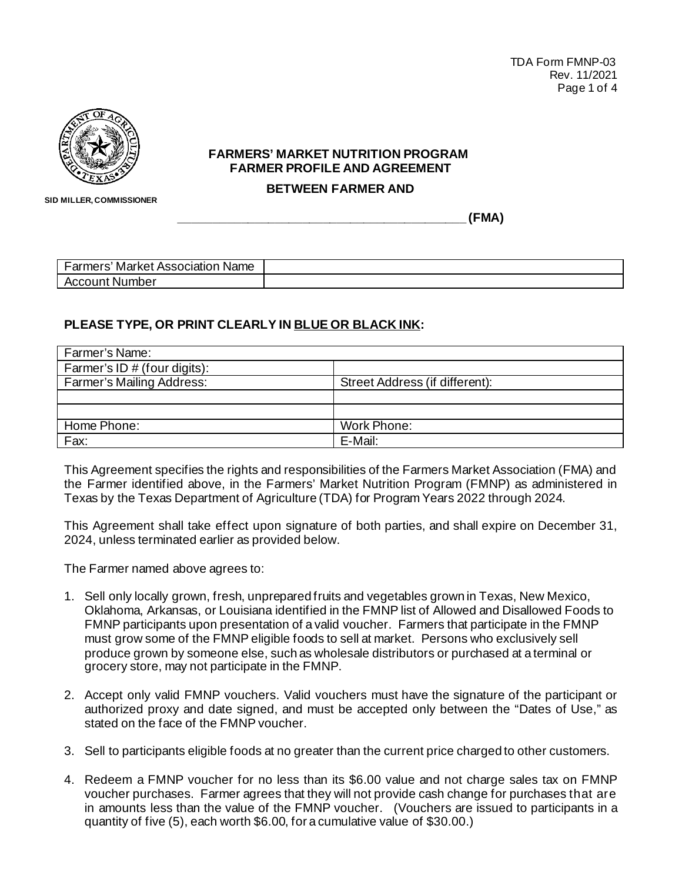

## **FARMERS' MARKET NUTRITION PROGRAM FARMER PROFILE AND AGREEMENT**

**BETWEEN FARMER AND** 

 **SID MILLER, COMMISSIONER**

**\_\_\_\_\_\_\_\_\_\_\_\_\_\_\_\_\_\_\_\_\_\_\_\_\_\_\_\_\_\_\_\_\_\_\_\_\_\_\_\_\_\_ (FMA)**

| . ormara<br><b>Name</b><br>Market<br>mers<br>ASSC<br>uldlll'. |  |
|---------------------------------------------------------------|--|
| ımber<br>cour<br>.<br>ועו<br>. .                              |  |

## **PLEASE TYPE, OR PRINT CLEARLY IN BLUE OR BLACK INK:**

| Farmer's Name:                   |                                |
|----------------------------------|--------------------------------|
| Farmer's ID $#$ (four digits):   |                                |
| <b>Farmer's Mailing Address:</b> | Street Address (if different): |
|                                  |                                |
|                                  |                                |
| Home Phone:                      | Work Phone:                    |
| Fax:                             | E-Mail:                        |

This Agreement specifies the rights and responsibilities of the Farmers Market Association (FMA) and the Farmer identified above, in the Farmers' Market Nutrition Program (FMNP) as administered in Texas by the Texas Department of Agriculture (TDA) for Program Years 2022 through 2024.

This Agreement shall take effect upon signature of both parties, and shall expire on December 31, 2024, unless terminated earlier as provided below.

The Farmer named above agrees to:

- 1. Sell only locally grown, fresh, unprepared fruits and vegetables grown in Texas, New Mexico, Oklahoma, Arkansas, or Louisiana identified in the FMNP list of Allowed and Disallowed Foods to FMNP participants upon presentation of a valid voucher. Farmers that participate in the FMNP must grow some of the FMNP eligible foods to sell at market. Persons who exclusively sell produce grown by someone else, such as wholesale distributors or purchased at a terminal or grocery store, may not participate in the FMNP.
- 2. Accept only valid FMNP vouchers. Valid vouchers must have the signature of the participant or authorized proxy and date signed, and must be accepted only between the "Dates of Use," as stated on the face of the FMNP voucher.
- 3. Sell to participants eligible foods at no greater than the current price charged to other customers.
- 4. Redeem a FMNP voucher for no less than its \$6.00 value and not charge sales tax on FMNP voucher purchases. Farmer agrees that they will not provide cash change for purchases that are in amounts less than the value of the FMNP voucher. (Vouchers are issued to participants in a quantity of five (5), each worth \$6.00, for a cumulative value of \$30.00.)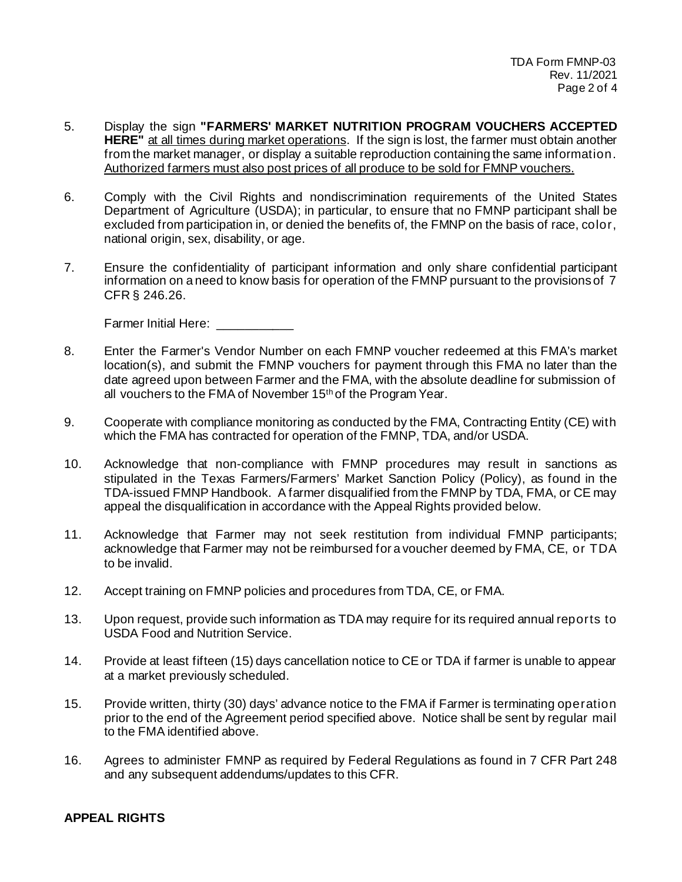- 5. Display the sign **"FARMERS' MARKET NUTRITION PROGRAM VOUCHERS ACCEPTED HERE"** at all times during market operations. If the sign is lost, the farmer must obtain another from the market manager, or display a suitable reproduction containing the same information. Authorized farmers must also post prices of all produce to be sold for FMNP vouchers.
- 6. Comply with the Civil Rights and nondiscrimination requirements of the United States Department of Agriculture (USDA); in particular, to ensure that no FMNP participant shall be excluded from participation in, or denied the benefits of, the FMNP on the basis of race, color, national origin, sex, disability, or age.
- 7. Ensure the confidentiality of participant information and only share confidential participant information on a need to know basis for operation of the FMNP pursuant to the provisions of 7 CFR § 246.26.

Farmer Initial Here: \_\_\_\_\_\_\_\_\_\_\_

- 8. Enter the Farmer's Vendor Number on each FMNP voucher redeemed at this FMA's market location(s), and submit the FMNP vouchers for payment through this FMA no later than the date agreed upon between Farmer and the FMA, with the absolute deadline for submission of all vouchers to the FMA of November 15<sup>th</sup> of the Program Year.
- 9. Cooperate with compliance monitoring as conducted by the FMA, Contracting Entity (CE) with which the FMA has contracted for operation of the FMNP, TDA, and/or USDA.
- 10. Acknowledge that non-compliance with FMNP procedures may result in sanctions as stipulated in the Texas Farmers/Farmers' Market Sanction Policy (Policy), as found in the TDA-issued FMNP Handbook. A farmer disqualified from the FMNP by TDA, FMA, or CE may appeal the disqualification in accordance with the Appeal Rights provided below.
- 11. Acknowledge that Farmer may not seek restitution from individual FMNP participants; acknowledge that Farmer may not be reimbursed for a voucher deemed by FMA, CE, or TDA to be invalid.
- 12. Accept training on FMNP policies and procedures from TDA, CE, or FMA.
- 13. Upon request, provide such information as TDA may require for its required annual reports to USDA Food and Nutrition Service.
- 14. Provide at least fifteen (15) days cancellation notice to CE or TDA if farmer is unable to appear at a market previously scheduled.
- 15. Provide written, thirty (30) days' advance notice to the FMA if Farmer is terminating operation prior to the end of the Agreement period specified above. Notice shall be sent by regular mail to the FMA identified above.
- 16. Agrees to administer FMNP as required by Federal Regulations as found in 7 CFR Part 248 and any subsequent addendums/updates to this CFR.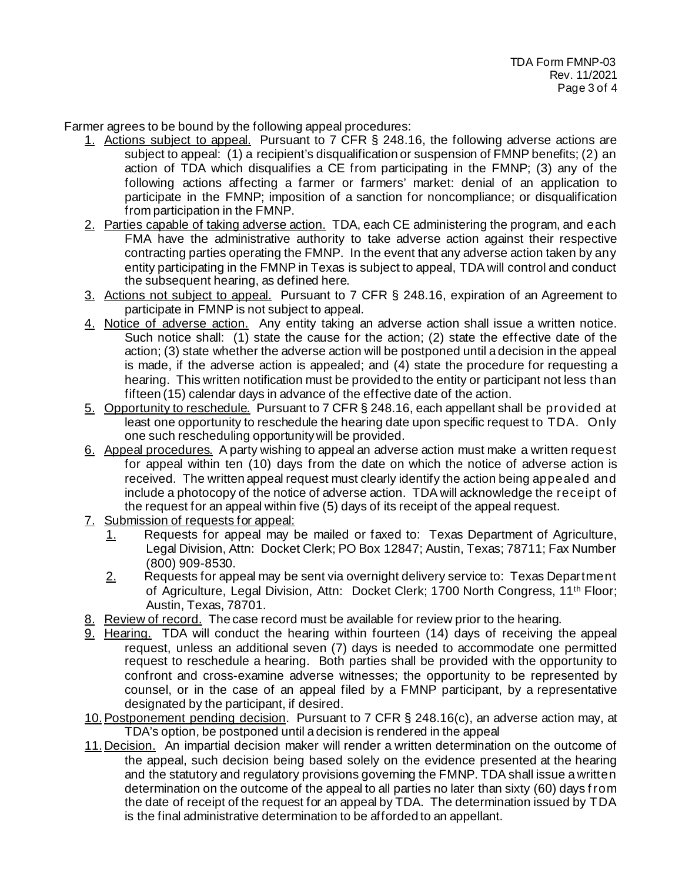Farmer agrees to be bound by the following appeal procedures:

- 1. Actions subject to appeal. Pursuant to 7 CFR § 248.16, the following adverse actions are subject to appeal: (1) a recipient's disqualification or suspension of FMNP benefits; (2) an action of TDA which disqualifies a CE from participating in the FMNP; (3) any of the following actions affecting a farmer or farmers' market: denial of an application to participate in the FMNP; imposition of a sanction for noncompliance; or disqualification from participation in the FMNP.
- 2. Parties capable of taking adverse action. TDA, each CE administering the program, and each FMA have the administrative authority to take adverse action against their respective contracting parties operating the FMNP. In the event that any adverse action taken by any entity participating in the FMNP in Texas is subject to appeal, TDA will control and conduct the subsequent hearing, as defined here.
- 3. Actions not subject to appeal. Pursuant to 7 CFR § 248.16, expiration of an Agreement to participate in FMNP is not subject to appeal.
- 4. Notice of adverse action. Any entity taking an adverse action shall issue a written notice. Such notice shall: (1) state the cause for the action; (2) state the effective date of the action; (3) state whether the adverse action will be postponed until a decision in the appeal is made, if the adverse action is appealed; and (4) state the procedure for requesting a hearing. This written notification must be provided to the entity or participant not less than fifteen (15) calendar days in advance of the effective date of the action.
- 5. Opportunity to reschedule. Pursuant to 7 CFR § 248.16, each appellant shall be provided at least one opportunity to reschedule the hearing date upon specific request to TDA. Only one such rescheduling opportunity will be provided.
- 6. Appeal procedures. A party wishing to appeal an adverse action must make a written request for appeal within ten (10) days from the date on which the notice of adverse action is received. The written appeal request must clearly identify the action being appealed and include a photocopy of the notice of adverse action. TDA will acknowledge the receipt of the request for an appeal within five (5) days of its receipt of the appeal request.
- 7. Submission of requests for appeal:
	- 1. Requests for appeal may be mailed or faxed to: Texas Department of Agriculture, Legal Division, Attn: Docket Clerk; PO Box 12847; Austin, Texas; 78711; Fax Number (800) 909-8530.
	- $2.$  Requests for appeal may be sent via overnight delivery service to: Texas Department of Agriculture, Legal Division, Attn: Docket Clerk; 1700 North Congress, 11th Floor; Austin, Texas, 78701.
- 8. Review of record. The case record must be available for review prior to the hearing.
- 9. Hearing. TDA will conduct the hearing within fourteen (14) days of receiving the appeal request, unless an additional seven (7) days is needed to accommodate one permitted request to reschedule a hearing. Both parties shall be provided with the opportunity to confront and cross-examine adverse witnesses; the opportunity to be represented by counsel, or in the case of an appeal filed by a FMNP participant, by a representative designated by the participant, if desired.
- 10.Postponement pending decision. Pursuant to 7 CFR § 248.16(c), an adverse action may, at TDA's option, be postponed until a decision is rendered in the appeal
- 11. Decision. An impartial decision maker will render a written determination on the outcome of the appeal, such decision being based solely on the evidence presented at the hearing and the statutory and regulatory provisions governing the FMNP. TDA shall issue a written determination on the outcome of the appeal to all parties no later than sixty (60) days f rom the date of receipt of the request for an appeal by TDA. The determination issued by TDA is the final administrative determination to be afforded to an appellant.